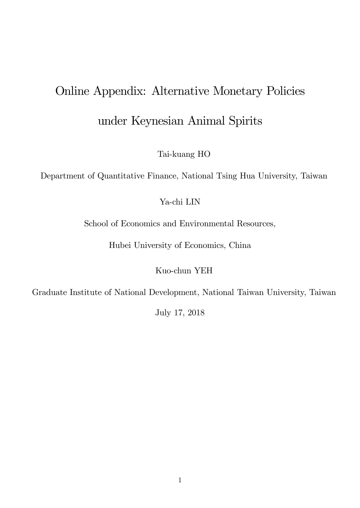# Online Appendix: Alternative Monetary Policies

under Keynesian Animal Spirits

Tai-kuang HO

Department of Quantitative Finance, National Tsing Hua University, Taiwan

Ya-chi LIN

School of Economics and Environmental Resources,

Hubei University of Economics, China

Kuo-chun YEH

Graduate Institute of National Development, National Taiwan University, Taiwan

July 17, 2018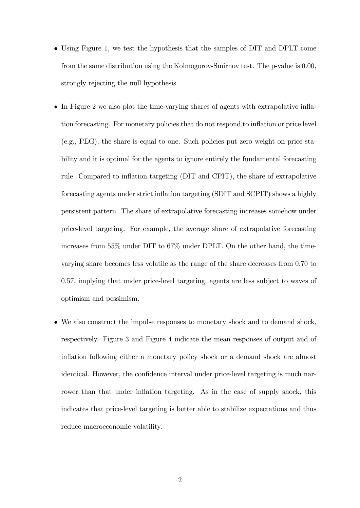- Using Figure 1, we test the hypothesis that the samples of DIT and DPLT come from the same distribution using the Kolmogorov-Smirnov test. The p-value is 0:00, strongly rejecting the null hypothesis.
- In Figure 2 we also plot the time-varying shares of agents with extrapolative inflation forecasting. For monetary policies that do not respond to ináation or price level (e.g., PEG), the share is equal to one. Such policies put zero weight on price stability and it is optimal for the agents to ignore entirely the fundamental forecasting rule. Compared to inflation targeting (DIT and CPIT), the share of extrapolative forecasting agents under strict inflation targeting (SDIT and SCPIT) shows a highly persistent pattern. The share of extrapolative forecasting increases somehow under price-level targeting. For example, the average share of extrapolative forecasting increases from 55% under DIT to 67% under DPLT. On the other hand, the timevarying share becomes less volatile as the range of the share decreases from 0:70 to 0:57, implying that under price-level targeting, agents are less subject to waves of optimism and pessimism.
- We also construct the impulse responses to monetary shock and to demand shock, respectively. Figure 3 and Figure 4 indicate the mean responses of output and of inflation following either a monetary policy shock or a demand shock are almost identical. However, the confidence interval under price-level targeting is much narrower than that under inflation targeting. As in the case of supply shock, this indicates that price-level targeting is better able to stabilize expectations and thus reduce macroeconomic volatility.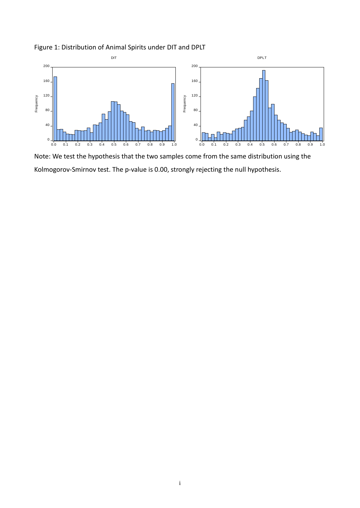

Figure 1: Distribution of Animal Spirits under DIT and DPLT

Note: We test the hypothesis that the two samples come from the same distribution using the Kolmogorov-Smirnov test. The p-value is 0.00, strongly rejecting the null hypothesis.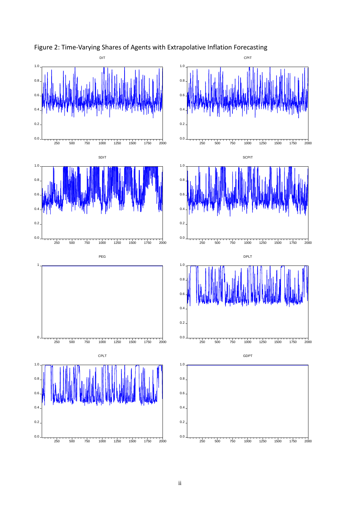





CPIT

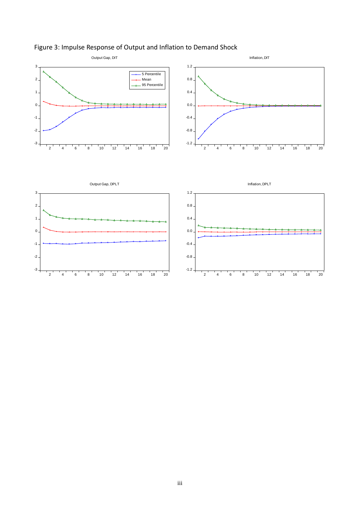

# Figure 3: Impulse Response of Output and Inflation to Demand Shock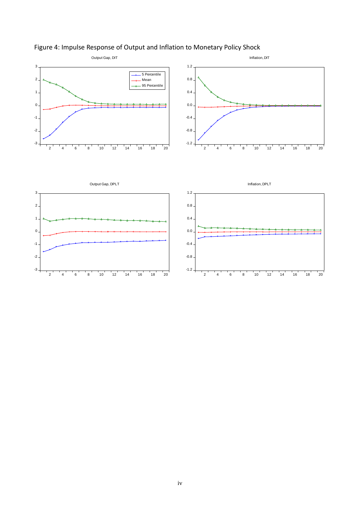

# Figure 4: Impulse Response of Output and Inflation to Monetary Policy Shock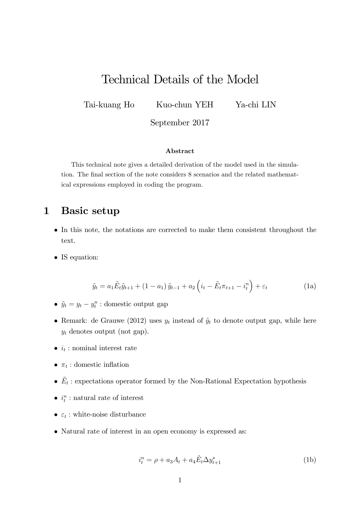# Technical Details of the Model

Tai-kuang Ho Kuo-chun YEH Ya-chi LIN

September 2017

### Abstract

This technical note gives a detailed derivation of the model used in the simulation. The final section of the note considers 8 scenarios and the related mathematical expressions employed in coding the program.

# 1 Basic setup

- In this note, the notations are corrected to make them consistent throughout the text.
- IS equation:

$$
\tilde{y}_t = a_1 \tilde{E}_t \tilde{y}_{t+1} + (1 - a_1) \tilde{y}_{t-1} + a_2 \left( i_t - \tilde{E}_t \pi_{t+1} - i_t^n \right) + \varepsilon_t \tag{1a}
$$

- $\tilde{y}_t = y_t y_t^n$ : domestic output gap
- Remark: de Grauwe (2012) uses  $y_t$  instead of  $\tilde{y}_t$  to denote output gap, while here  $y_t$  denotes output (not gap).
- $i_t$ : nominal interest rate
- $\pi_t$ : domestic inflation
- $\tilde{E}_t$ : expectations operator formed by the Non-Rational Expectation hypothesis
- $i_t^n$ : natural rate of interest
- $\varepsilon_t$ : white-noise disturbance
- Natural rate of interest in an open economy is expressed as:

$$
i_t^n = \rho + a_3 A_t + a_4 \tilde{E}_t \Delta y_{t+1}^*
$$
\n(1b)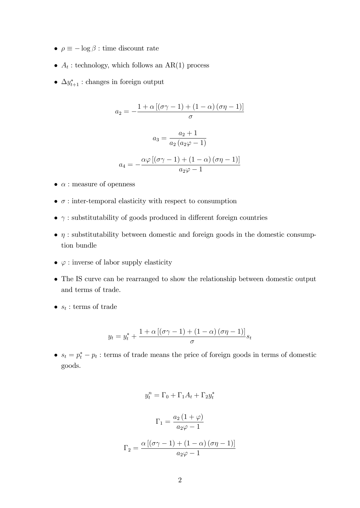- $\rho \equiv -\log \beta$ : time discount rate
- $A_t$ : technology, which follows an AR(1) process
- $\Delta y_{t+1}^*$ : changes in foreign output

$$
a_2 = -\frac{1 + \alpha [(\sigma \gamma - 1) + (1 - \alpha) (\sigma \eta - 1)]}{\sigma}
$$

$$
a_3 = \frac{a_2 + 1}{a_2 (a_2 \varphi - 1)}
$$

$$
a_4 = -\frac{\alpha \varphi [(\sigma \gamma - 1) + (1 - \alpha) (\sigma \eta - 1)]}{a_2 \varphi - 1}
$$

- $\bullet$   $\alpha$  : measure of openness
- $\bullet$   $\sigma$ : inter-temporal elasticity with respect to consumption
- $\bullet$   $\gamma$  : substitutability of goods produced in different foreign countries
- $\bullet$   $\eta$ : substitutability between domestic and foreign goods in the domestic consumption bundle
- $\bullet \varphi :$  inverse of labor supply elasticity
- The IS curve can be rearranged to show the relationship between domestic output and terms of trade.
- $s_t$ : terms of trade

$$
y_t = y_t^* + \frac{1 + \alpha \left[ (\sigma \gamma - 1) + (1 - \alpha) (\sigma \eta - 1) \right]}{\sigma} s_t
$$

•  $s_t = p_t^* - p_t$ : terms of trade means the price of foreign goods in terms of domestic goods.

$$
y_t^n = \Gamma_0 + \Gamma_1 A_t + \Gamma_2 y_t^*
$$

$$
\Gamma_1 = \frac{a_2 (1 + \varphi)}{a_2 \varphi - 1}
$$

$$
\Gamma_2 = \frac{\alpha \left[ (\sigma \gamma - 1) + (1 - \alpha) (\sigma \eta - 1) \right]}{a_2 \varphi - 1}
$$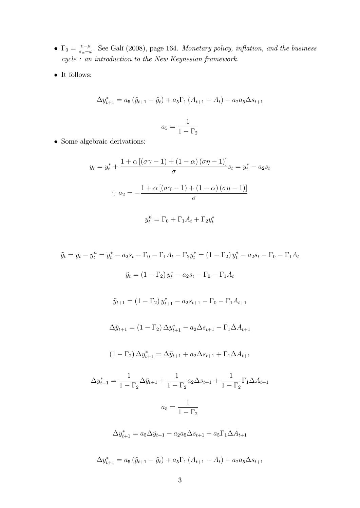- $\Gamma_0 = \frac{v-\mu}{\sigma_\alpha+\varphi}$ . See Gali (2008), page 164. Monetary policy, inflation, and the business cycle : an introduction to the New Keynesian framework.
- $\bullet\,$  It follows:

$$
\Delta y_{t+1}^* = a_5 (\tilde{y}_{t+1} - \tilde{y}_t) + a_5 \Gamma_1 (A_{t+1} - A_t) + a_2 a_5 \Delta s_{t+1}
$$

$$
a_5 = \frac{1}{1 - \Gamma_2}
$$

• Some algebraic derivations:

$$
y_t = y_t^* + \frac{1 + \alpha \left[ (\sigma \gamma - 1) + (1 - \alpha) (\sigma \eta - 1) \right]}{\sigma} s_t = y_t^* - a_2 s_t
$$

$$
\therefore a_2 = -\frac{1 + \alpha \left[ (\sigma \gamma - 1) + (1 - \alpha) (\sigma \eta - 1) \right]}{\sigma}
$$

$$
y_t^n = \Gamma_0 + \Gamma_1 A_t + \Gamma_2 y_t^*
$$

 $\tilde{y}_t = y_t - y_t^n = y_t^* - a_2 s_t - \Gamma_0 - \Gamma_1 A_t - \Gamma_2 y_t^* = (1 - \Gamma_2) y_t^* - a_2 s_t - \Gamma_0 - \Gamma_1 A_t$  $\tilde{y}_t = (1 - \Gamma_2) y_t^* - a_2 s_t - \Gamma_0 - \Gamma_1 A_t$  $\tilde{y}_{t+1} = (1 - \Gamma_2) y_{t+1}^* - a_2 s_{t+1} - \Gamma_0 - \Gamma_1 A_{t+1}$  $\Delta \tilde{y}_{t+1} = (1 - \Gamma_2) \Delta y_{t+1}^* - a_2 \Delta s_{t+1} - \Gamma_1 \Delta A_{t+1}$  $(1 - \Gamma_2) \Delta y_{t+1}^* = \Delta \tilde{y}_{t+1} + a_2 \Delta s_{t+1} + \Gamma_1 \Delta A_{t+1}$  $\Delta y^*_{t+1} =$ 1  $1 - \Gamma_2$  $\Delta \tilde{y}_{t+1} +$ 1  $1 - \Gamma_2$  $a_2\Delta s_{t+1} +$ 1  $1 - \Gamma_2$  $\Gamma_1 \Delta A_{t+1}$  $a_5 =$ 1  $1 - \Gamma_2$  $\Delta y_{t+1}^* = a_5 \Delta \tilde{y}_{t+1} + a_2 a_5 \Delta s_{t+1} + a_5 \Gamma_1 \Delta A_{t+1}$  $\Delta y_{t+1}^* = a_5 (\tilde{y}_{t+1} - \tilde{y}_t) + a_5 \Gamma_1 (A_{t+1} - A_t) + a_2 a_5 \Delta s_{t+1}$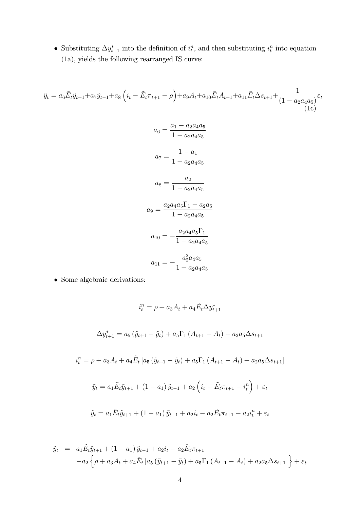• Substituting  $\Delta y^*_{t+1}$  into the definition of  $i_t^n$ , and then substituting  $i_t^n$  into equation (1a), yields the following rearranged IS curve:

$$
\tilde{y}_t = a_6 \tilde{E}_t \tilde{y}_{t+1} + a_7 \tilde{y}_{t-1} + a_8 \left( i_t - \tilde{E}_t \pi_{t+1} - \rho \right) + a_9 A_t + a_{10} \tilde{E}_t A_{t+1} + a_{11} \tilde{E}_t \Delta s_{t+1} + \frac{1}{(1 - a_2 a_4 a_5)} \varepsilon_t
$$
\n
$$
a_6 = \frac{a_1 - a_2 a_4 a_5}{1 - a_2 a_4 a_5}
$$
\n
$$
a_7 = \frac{1 - a_1}{1 - a_2 a_4 a_5}
$$
\n
$$
a_8 = \frac{a_2}{1 - a_2 a_4 a_5}
$$
\n
$$
a_9 = \frac{a_2 a_4 a_5 \Gamma_1 - a_2 a_5}{1 - a_2 a_4 a_5}
$$
\n
$$
a_{10} = -\frac{a_2 a_4 a_5 \Gamma_1}{1 - a_2 a_4 a_5}
$$
\n
$$
a_{11} = -\frac{a_2^2 a_4 a_5}{1 - a_2 a_4 a_5}
$$
\n• Some algebraic derivations:

$$
i_t^n = \rho + a_3 A_t + a_4 \tilde{E}_t \Delta y_{t+1}^*
$$
  
\n
$$
\Delta y_{t+1}^* = a_5 (\tilde{y}_{t+1} - \tilde{y}_t) + a_5 \Gamma_1 (A_{t+1} - A_t) + a_2 a_5 \Delta s_{t+1}
$$
  
\n
$$
i_t^n = \rho + a_3 A_t + a_4 \tilde{E}_t [a_5 (\tilde{y}_{t+1} - \tilde{y}_t) + a_5 \Gamma_1 (A_{t+1} - A_t) + a_2 a_5 \Delta s_{t+1}]
$$
  
\n
$$
\tilde{y}_t = a_1 \tilde{E}_t \tilde{y}_{t+1} + (1 - a_1) \tilde{y}_{t-1} + a_2 (i_t - \tilde{E}_t \pi_{t+1} - i_t^n) + \varepsilon_t
$$
  
\n
$$
\tilde{y}_t = a_1 \tilde{E}_t \tilde{y}_{t+1} + (1 - a_1) \tilde{y}_{t-1} + a_2 i_t - a_2 \tilde{E}_t \pi_{t+1} - a_2 i_t^n + \varepsilon_t
$$

$$
\tilde{y}_t = a_1 \tilde{E}_t \tilde{y}_{t+1} + (1 - a_1) \tilde{y}_{t-1} + a_2 i_t - a_2 \tilde{E}_t \pi_{t+1} \n- a_2 \left\{ \rho + a_3 A_t + a_4 \tilde{E}_t \left[ a_5 \left( \tilde{y}_{t+1} - \tilde{y}_t \right) + a_5 \Gamma_1 \left( A_{t+1} - A_t \right) + a_2 a_5 \Delta s_{t+1} \right] \right\} + \varepsilon_t
$$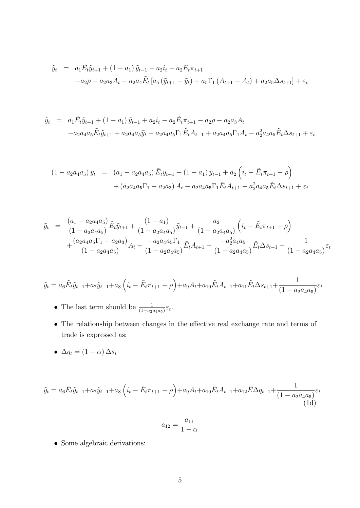$$
\tilde{y}_t = a_1 \tilde{E}_t \tilde{y}_{t+1} + (1 - a_1) \tilde{y}_{t-1} + a_2 i_t - a_2 \tilde{E}_t \pi_{t+1} \n- a_2 \rho - a_2 a_3 A_t - a_2 a_4 \tilde{E}_t \left[ a_5 \left( \tilde{y}_{t+1} - \tilde{y}_t \right) + a_5 \Gamma_1 \left( A_{t+1} - A_t \right) + a_2 a_5 \Delta s_{t+1} \right] + \varepsilon_t
$$

$$
\tilde{y}_t = a_1 \tilde{E}_t \tilde{y}_{t+1} + (1 - a_1) \tilde{y}_{t-1} + a_2 i_t - a_2 \tilde{E}_t \pi_{t+1} - a_2 \rho - a_2 a_3 A_t \n- a_2 a_4 a_5 \tilde{E}_t \tilde{y}_{t+1} + a_2 a_4 a_5 \tilde{y}_t - a_2 a_4 a_5 \Gamma_1 \tilde{E}_t A_{t+1} + a_2 a_4 a_5 \Gamma_1 A_t - a_2^2 a_4 a_5 \tilde{E}_t \Delta s_{t+1} + \varepsilon_t
$$

$$
(1 - a_2 a_4 a_5) \tilde{y}_t = (a_1 - a_2 a_4 a_5) \tilde{E}_t \tilde{y}_{t+1} + (1 - a_1) \tilde{y}_{t-1} + a_2 \left( i_t - \tilde{E}_t \pi_{t+1} - \rho \right) + (a_2 a_4 a_5 \Gamma_1 - a_2 a_3) A_t - a_2 a_4 a_5 \Gamma_1 \tilde{E}_t A_{t+1} - a_2^2 a_4 a_5 \tilde{E}_t \Delta s_{t+1} + \varepsilon_t
$$

$$
\tilde{y}_t = \frac{(a_1 - a_2 a_4 a_5)}{(1 - a_2 a_4 a_5)} \tilde{E}_t \tilde{y}_{t+1} + \frac{(1 - a_1)}{(1 - a_2 a_4 a_5)} \tilde{y}_{t-1} + \frac{a_2}{(1 - a_2 a_4 a_5)} \left( i_t - \tilde{E}_t \pi_{t+1} - \rho \right) \n+ \frac{(a_2 a_4 a_5 \Gamma_1 - a_2 a_3)}{(1 - a_2 a_4 a_5)} A_t + \frac{-a_2 a_4 a_5 \Gamma_1}{(1 - a_2 a_4 a_5)} \tilde{E}_t A_{t+1} + \frac{-a_2^2 a_4 a_5}{(1 - a_2 a_4 a_5)} \tilde{E}_t \Delta s_{t+1} + \frac{1}{(1 - a_2 a_4 a_5)} \varepsilon_t
$$

$$
\tilde{y}_t = a_6 \tilde{E}_t \tilde{y}_{t+1} + a_7 \tilde{y}_{t-1} + a_8 \left( i_t - \tilde{E}_t \pi_{t+1} - \rho \right) + a_9 A_t + a_{10} \tilde{E}_t A_{t+1} + a_{11} \tilde{E}_t \Delta s_{t+1} + \frac{1}{(1 - a_2 a_4 a_5)} \varepsilon_t
$$

- The last term should be  $\frac{1}{(1-a_2a_4a_5)}\varepsilon_t$ .
- $\bullet\,$  The relationship between changes in the effective real exchange rate and terms of  $\operatorname{trade}$  is expressed as:
- $\Delta q_t = (1 \alpha) \Delta s_t$

$$
\tilde{y}_t = a_6 \tilde{E}_t \tilde{y}_{t+1} + a_7 \tilde{y}_{t-1} + a_8 \left( i_t - \tilde{E}_t \pi_{t+1} - \rho \right) + a_9 A_t + a_{10} \tilde{E}_t A_{t+1} + a_{12} \tilde{E} \Delta q_{t+1} + \frac{1}{(1 - a_2 a_4 a_5)} \varepsilon_t
$$
\n
$$
(1d)
$$

$$
a_{12} = \frac{a_{11}}{1 - \alpha}
$$

 $\bullet\,$  Some algebraic derivations: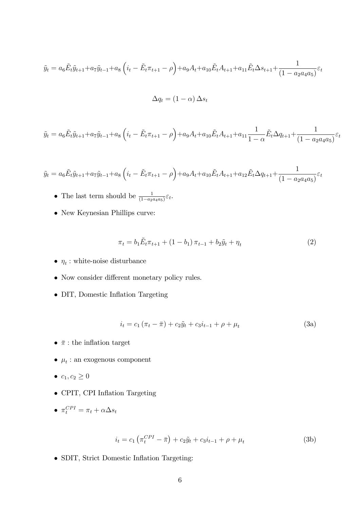$$
\tilde{y}_t = a_6 \tilde{E}_t \tilde{y}_{t+1} + a_7 \tilde{y}_{t-1} + a_8 \left( i_t - \tilde{E}_t \pi_{t+1} - \rho \right) + a_9 A_t + a_{10} \tilde{E}_t A_{t+1} + a_{11} \tilde{E}_t \Delta s_{t+1} + \frac{1}{(1 - a_2 a_4 a_5)} \varepsilon_t
$$

$$
\Delta q_t = (1 - \alpha) \, \Delta s_t
$$

$$
\tilde{y}_t = a_6 \tilde{E}_t \tilde{y}_{t+1} + a_7 \tilde{y}_{t-1} + a_8 \left( i_t - \tilde{E}_t \pi_{t+1} - \rho \right) + a_9 A_t + a_{10} \tilde{E}_t A_{t+1} + a_{11} \frac{1}{1 - \alpha} \tilde{E}_t \Delta q_{t+1} + \frac{1}{(1 - a_2 a_4 a_5)} \varepsilon_t
$$

$$
\tilde{y}_t = a_6 \tilde{E}_t \tilde{y}_{t+1} + a_7 \tilde{y}_{t-1} + a_8 \left( i_t - \tilde{E}_t \pi_{t+1} - \rho \right) + a_9 A_t + a_{10} \tilde{E}_t A_{t+1} + a_{12} \tilde{E}_t \Delta q_{t+1} + \frac{1}{(1 - a_2 a_4 a_5)} \varepsilon_t
$$

- The last term should be  $\frac{1}{(1-a_2a_4a_5)}\varepsilon_t$ .
- $\bullet\,$  New Keynesian Phillips curve:

$$
\pi_t = b_1 \tilde{E}_t \pi_{t+1} + (1 - b_1) \pi_{t-1} + b_2 \tilde{y}_t + \eta_t \tag{2}
$$

- $\bullet \ \eta_t:$  white-noise disturbance
- $\bullet\,$  Now consider different monetary policy rules.
- DIT, Domestic Inflation Targeting

$$
i_t = c_1 (\pi_t - \bar{\pi}) + c_2 \tilde{y}_t + c_3 i_{t-1} + \rho + \mu_t
$$
\n(3a)

- $\bullet~\ensuremath{\bar{\pi}}$  : the inflation target
- $\bullet\ \mu_t$  : an exogenous component
- $c_1, c_2 \geq 0$
- $\bullet$  CPIT, CPI Inflation Targeting
- $\pi_t^{CPI} = \pi_t + \alpha \Delta s_t$

$$
i_t = c_1 \left( \pi_t^{CPI} - \bar{\pi} \right) + c_2 \tilde{y}_t + c_3 i_{t-1} + \rho + \mu_t \tag{3b}
$$

• SDIT, Strict Domestic Inflation Targeting: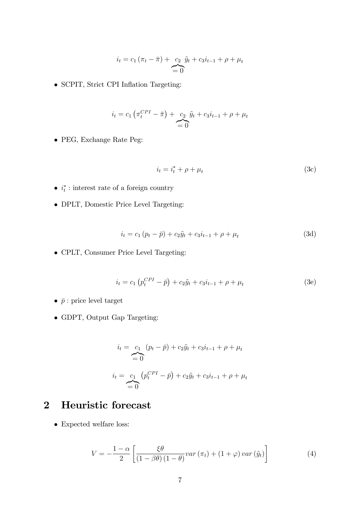$$
i_t = c_1 (\pi_t - \bar{\pi}) + \underbrace{c_2}_{=0} \tilde{y}_t + c_3 i_{t-1} + \rho + \mu_t
$$

• SCPIT, Strict CPI Inflation Targeting:

$$
i_t = c_1 \left( \pi_t^{CPI} - \bar{\pi} \right) + c_2 \underbrace{\tilde{y}_t + c_3 i_{t-1}}_{= 0} + \rho + \mu_t
$$

PEG, Exchange Rate Peg:

$$
i_t = i_t^* + \rho + \mu_t \tag{3c}
$$

- $i_t^*$ : interest rate of a foreign country
- DPLT, Domestic Price Level Targeting:

$$
i_t = c_1 (p_t - \bar{p}) + c_2 \tilde{y}_t + c_3 i_{t-1} + \rho + \mu_t
$$
\n(3d)

CPLT, Consumer Price Level Targeting:

$$
i_t = c_1 \left( p_t^{CPI} - \bar{p} \right) + c_2 \tilde{y}_t + c_3 i_{t-1} + \rho + \mu_t \tag{3e}
$$

- $\bullet~\bar p$  : price level target
- GDPT, Output Gap Targeting:

$$
i_t = c_1 (p_t - \bar{p}) + c_2 \tilde{y}_t + c_3 i_{t-1} + \rho + \mu_t
$$
  
\n
$$
i_t = c_1 (p_t^{CPI} - \bar{p}) + c_2 \tilde{y}_t + c_3 i_{t-1} + \rho + \mu_t
$$
  
\n
$$
= 0
$$

# 2 Heuristic forecast

 $\bullet\,$  Expected welfare loss:

$$
V = -\frac{1-\alpha}{2} \left[ \frac{\xi \theta}{\left(1 - \beta \theta\right) \left(1 - \theta\right)} var\left(\pi_t\right) + \left(1 + \varphi\right) var\left(\tilde{y}_t\right) \right] \tag{4}
$$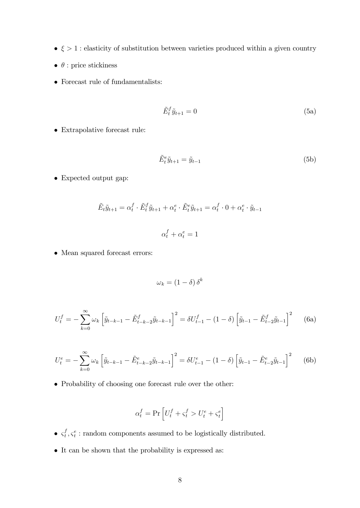- $\bullet$   $\xi > 1$  : elasticity of substitution between varieties produced within a given country
- $\bullet\,$   $\theta$  : price stickiness
- $\bullet\,$  Forecast rule of fundamentalists:

$$
\tilde{E}_t^f \tilde{y}_{t+1} = 0 \tag{5a}
$$

 $\bullet\,$  Extrapolative forecast rule:

$$
\tilde{E}_t^e \tilde{y}_{t+1} = \tilde{y}_{t-1} \tag{5b}
$$

Expected output gap:

$$
\tilde{E}_t \tilde{y}_{t+1} = \alpha_t^f \cdot \tilde{E}_t^f \tilde{y}_{t+1} + \alpha_t^e \cdot \tilde{E}_t^e \tilde{y}_{t+1} = \alpha_t^f \cdot 0 + \alpha_t^e \cdot \tilde{y}_{t-1}
$$
  

$$
\alpha_t^f + \alpha_t^e = 1
$$

Mean squared forecast errors:

$$
\omega_k = (1 - \delta) \,\delta^k
$$

$$
U_t^f = -\sum_{k=0}^{\infty} \omega_k \left[ \tilde{y}_{t-k-1} - \tilde{E}_{t-k-2}^f \tilde{y}_{t-k-1} \right]^2 = \delta U_{t-1}^f - (1 - \delta) \left[ \tilde{y}_{t-1} - \tilde{E}_{t-2}^f \tilde{y}_{t-1} \right]^2 \tag{6a}
$$

$$
U_t^e = -\sum_{k=0}^{\infty} \omega_k \left[ \tilde{y}_{t-k-1} - \tilde{E}_{t-k-2}^e \tilde{y}_{t-k-1} \right]^2 = \delta U_{t-1}^e - (1 - \delta) \left[ \tilde{y}_{t-1} - \tilde{E}_{t-2}^e \tilde{y}_{t-1} \right]^2 \tag{6b}
$$

Probability of choosing one forecast rule over the other:

$$
\alpha^f_t = \Pr \left[ U^f_t + \varsigma^f_t > U^e_t + \varsigma^e_t \right]
$$

- $\bullet$   $\varsigma_t^f$  $t^f$ ,  $s^e_t$ : random components assumed to be logistically distributed.
- It can be shown that the probability is expressed as: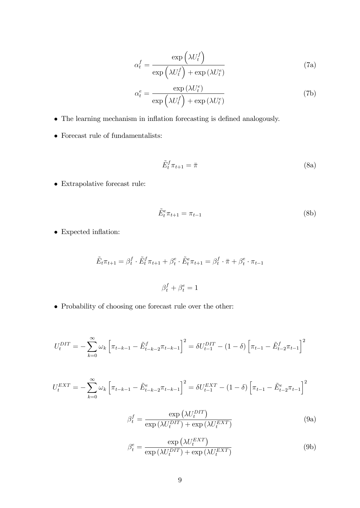$$
\alpha_t^f = \frac{\exp\left(\lambda U_t^f\right)}{\exp\left(\lambda U_t^f\right) + \exp\left(\lambda U_t^e\right)}\tag{7a}
$$

$$
\alpha_t^e = \frac{\exp\left(\lambda U_t^e\right)}{\exp\left(\lambda U_t^f\right) + \exp\left(\lambda U_t^e\right)}\tag{7b}
$$

- $\bullet\,$  The learning mechanism in inflation forecasting is defined analogously.
- $\bullet\,$  Forecast rule of fundamentalists:

$$
\tilde{E}_t^f \pi_{t+1} = \bar{\pi} \tag{8a}
$$

Extrapolative forecast rule:

$$
\tilde{E}_t^e \pi_{t+1} = \pi_{t-1} \tag{8b}
$$

 $\bullet\,$  Expected inflation:

$$
\tilde{E}_t \pi_{t+1} = \beta_t^f \cdot \tilde{E}_t^f \pi_{t+1} + \beta_t^e \cdot \tilde{E}_t^e \pi_{t+1} = \beta_t^f \cdot \bar{\pi} + \beta_t^e \cdot \pi_{t-1}
$$
  

$$
\beta_t^f + \beta_t^e = 1
$$

Probability of choosing one forecast rule over the other:

$$
U_t^{DIT} = -\sum_{k=0}^{\infty} \omega_k \left[ \pi_{t-k-1} - \tilde{E}_{t-k-2}^f \pi_{t-k-1} \right]^2 = \delta U_{t-1}^{DIT} - (1 - \delta) \left[ \pi_{t-1} - \tilde{E}_{t-2}^f \pi_{t-1} \right]^2
$$

$$
U_t^{EXT} = -\sum_{k=0}^{\infty} \omega_k \left[ \pi_{t-k-1} - \tilde{E}_{t-k-2}^e \pi_{t-k-1} \right]^2 = \delta U_{t-1}^{EXT} - (1-\delta) \left[ \pi_{t-1} - \tilde{E}_{t-2}^e \pi_{t-1} \right]^2
$$

$$
\beta_t^f = \frac{\exp\left(\lambda U_t^{DIT}\right)}{\exp\left(\lambda U_t^{DIT}\right) + \exp\left(\lambda U_t^{EXT}\right)}\tag{9a}
$$

$$
\beta_t^e = \frac{\exp\left(\lambda U_t^{EXT}\right)}{\exp\left(\lambda U_t^{DIT}\right) + \exp\left(\lambda U_t^{EXT}\right)}\tag{9b}
$$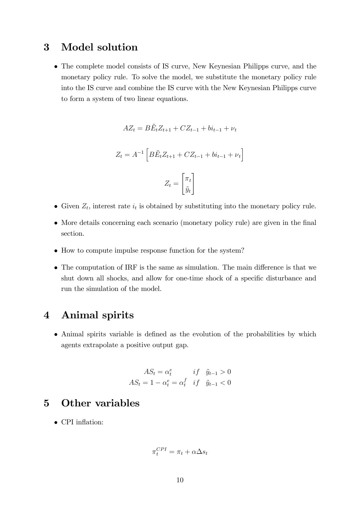# 3 Model solution

 The complete model consists of IS curve, New Keynesian Philipps curve, and the monetary policy rule. To solve the model, we substitute the monetary policy rule into the IS curve and combine the IS curve with the New Keynesian Philipps curve to form a system of two linear equations.

$$
AZ_t = B\tilde{E}_t Z_{t+1} + CZ_{t-1} + bi_{t-1} + \nu_t
$$

$$
Z_t = A^{-1} \left[ B \tilde{E}_t Z_{t+1} + C Z_{t-1} + bi_{t-1} + \nu_t \right]
$$
  

$$
Z \left[ \pi_t \right]
$$

 $Z_t =$ 

• Given  $Z_t$ , interest rate  $i_t$  is obtained by substituting into the monetary policy rule.

 $\tilde{y}_t$ 

- More details concerning each scenario (monetary policy rule) are given in the final section.
- How to compute impulse response function for the system?
- $\bullet$  The computation of IRF is the same as simulation. The main difference is that we shut down all shocks, and allow for one-time shock of a specific disturbance and run the simulation of the model.

# 4 Animal spirits

• Animal spirits variable is defined as the evolution of the probabilities by which agents extrapolate a positive output gap.

$$
AS_t = \alpha_t^e \qquad if \quad \tilde{y}_{t-1} > 0
$$

$$
AS_t = 1 - \alpha_t^e = \alpha_t^f \quad if \quad \tilde{y}_{t-1} < 0
$$

# 5 Other variables

 $\bullet$  CPI inflation:

$$
\pi_t^{CPI} = \pi_t + \alpha \Delta s_t
$$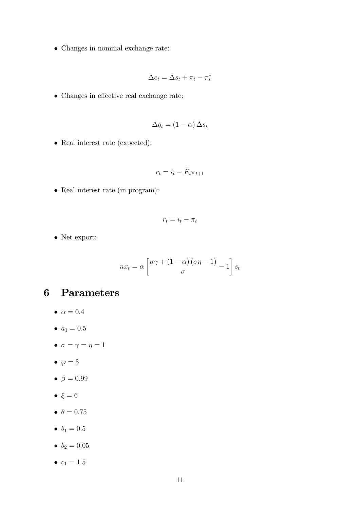Changes in nominal exchange rate:

$$
\Delta e_t = \Delta s_t + \pi_t - \pi_t^*
$$

 $\bullet\,$  Changes in effective real exchange rate:

$$
\Delta q_t = (1 - \alpha) \, \Delta s_t
$$

• Real interest rate (expected):

$$
r_t = i_t - \tilde{E}_t \pi_{t+1}
$$

• Real interest rate (in program):

$$
r_t = i_t - \pi_t
$$

Net export:

$$
nx_{t} = \alpha \left[ \frac{\sigma \gamma + (1 - \alpha) (\sigma \eta - 1)}{\sigma} - 1 \right] s_{t}
$$

# 6 Parameters

- $\bullet \ \alpha = 0.4$
- $a_1 = 0.5$
- $\bullet \ \sigma = \gamma = \eta = 1$
- $\bullet \varphi = 3$
- $\bullet \ \beta = 0.99$
- $\bullet \ \xi = 6$
- $\bullet$   $\theta = 0.75$
- $b_1 = 0.5$
- $b_2 = 0.05$
- $c_1 = 1.5$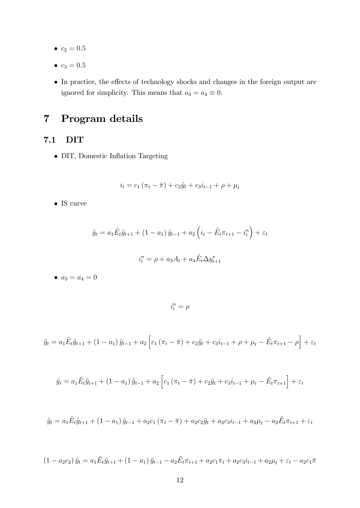- $c_2 = 0.5$
- $c_3 = 0.5$
- In practice, the effects of technology shocks and changes in the foreign output are ignored for simplicity. This means that  $a_3 = a_4 \equiv 0$ .

# 7 Program details

### 7.1 DIT

• DIT, Domestic Inflation Targeting

$$
i_t = c_1 (\pi_t - \bar{\pi}) + c_2 \tilde{y}_t + c_3 i_{t-1} + \rho + \mu_t
$$

 $\bullet$  IS curve

$$
\tilde{y}_t = a_1 \tilde{E}_t \tilde{y}_{t+1} + (1 - a_1) \tilde{y}_{t-1} + a_2 \left( i_t - \tilde{E}_t \pi_{t+1} - i_t^n \right) + \varepsilon_t
$$

$$
i_t^n = \rho + a_3 A_t + a_4 \tilde{E}_t \Delta y_{t+1}^*
$$

•  $a_3 = a_4 = 0$ 

 $i_t^n = \rho$ 

$$
\tilde{y}_t = a_1 \tilde{E}_t \tilde{y}_{t+1} + (1 - a_1) \tilde{y}_{t-1} + a_2 \left[ c_1 \left( \pi_t - \bar{\pi} \right) + c_2 \tilde{y}_t + c_3 i_{t-1} + \rho + \mu_t - \tilde{E}_t \pi_{t+1} - \rho \right] + \varepsilon_t
$$

$$
\tilde{y}_t = a_1 \tilde{E}_t \tilde{y}_{t+1} + (1 - a_1) \tilde{y}_{t-1} + a_2 \left[ c_1 (\pi_t - \bar{\pi}) + c_2 \tilde{y}_t + c_3 \tilde{i}_{t-1} + \mu_t - \tilde{E}_t \pi_{t+1} \right] + \varepsilon_t
$$

$$
\tilde{y}_t = a_1 \tilde{E}_t \tilde{y}_{t+1} + (1 - a_1) \tilde{y}_{t-1} + a_2 c_1 (\pi_t - \bar{\pi}) + a_2 c_2 \tilde{y}_t + a_2 c_3 i_{t-1} + a_2 \mu_t - a_2 \tilde{E}_t \pi_{t+1} + \varepsilon_t
$$

$$
(1 - a_2c_2)\tilde{y}_t = a_1\tilde{E}_t\tilde{y}_{t+1} + (1 - a_1)\tilde{y}_{t-1} - a_2\tilde{E}_t\pi_{t+1} + a_2c_1\pi_t + a_2c_3i_{t-1} + a_2\mu_t + \varepsilon_t - a_2c_1\pi
$$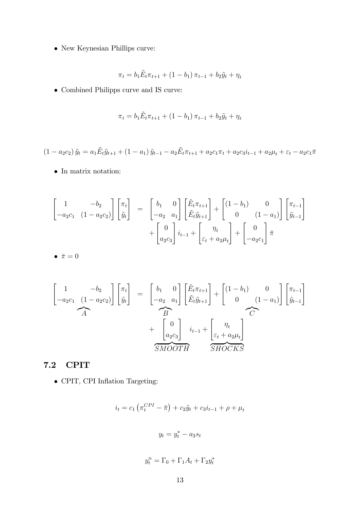$\bullet\,$  New Keynesian Phillips curve:

$$
\pi_t = b_1 \tilde{E}_t \pi_{t+1} + (1 - b_1) \pi_{t-1} + b_2 \tilde{y}_t + \eta_t
$$

Combined Philipps curve and IS curve:

$$
\pi_t = b_1 \tilde{E}_t \pi_{t+1} + (1 - b_1) \pi_{t-1} + b_2 \tilde{y}_t + \eta_t
$$

$$
(1 - a_2c_2)\tilde{y}_t = a_1\tilde{E}_t\tilde{y}_{t+1} + (1 - a_1)\tilde{y}_{t-1} - a_2\tilde{E}_t\pi_{t+1} + a_2c_1\pi_t + a_2c_3i_{t-1} + a_2\mu_t + \varepsilon_t - a_2c_1\pi
$$

 $\bullet\,$  In matrix notation:

$$
\begin{bmatrix} 1 & -b_2 \ -a_2c_1 & (1 - a_2c_2) \end{bmatrix} \begin{bmatrix} \pi_t \\ \tilde{y}_t \end{bmatrix} = \begin{bmatrix} b_1 & 0 \\ -a_2 & a_1 \end{bmatrix} \begin{bmatrix} \tilde{E}_t \pi_{t+1} \\ \tilde{E}_t \tilde{y}_{t+1} \end{bmatrix} + \begin{bmatrix} (1 - b_1) & 0 \\ 0 & (1 - a_1) \end{bmatrix} \begin{bmatrix} \pi_{t-1} \\ \tilde{y}_{t-1} \end{bmatrix} + \begin{bmatrix} 0 \\ a_2c_3 \end{bmatrix} i_{t-1} + \begin{bmatrix} \eta_t \\ \varepsilon_t + a_2\mu_t \end{bmatrix} + \begin{bmatrix} 0 \\ -a_2c_1 \end{bmatrix} \bar{\pi}
$$

$$
\bullet \ \bar{\pi} = 0
$$

$$
\begin{bmatrix}\n1 & -b_2 \\
-a_2c_1 & (1 - a_2c_2)\n\end{bmatrix}\n\begin{bmatrix}\n\pi_t \\
\tilde{y}_t\n\end{bmatrix} =\n\begin{bmatrix}\nb_1 & 0 \\
-a_2 & a_1\n\end{bmatrix}\n\begin{bmatrix}\n\tilde{E}_t \pi_{t+1} \\
\tilde{E}_t \tilde{y}_{t+1}\n\end{bmatrix} +\n\begin{bmatrix}\n(1 - b_1) & 0 \\
0 & (1 - a_1)\n\end{bmatrix}\n\begin{bmatrix}\n\pi_{t-1} \\
\tilde{y}_{t-1}\n\end{bmatrix} +\n\begin{bmatrix}\n0 \\
a_2c_3\n\end{bmatrix}\n\begin{bmatrix}\ni_{t-1} + \begin{bmatrix}\n\eta_t \\
\varepsilon_t + a_2\mu_t\n\end{bmatrix} \\
\tilde{SMOOTH} \n\begin{bmatrix}\n\tilde{S} \tilde{HOCKS}\n\end{bmatrix}
$$

### 7.2 CPIT

 $\bullet\,$  CPIT, CPI Inflation Targeting:

$$
i_t = c_1 \left( \pi_t^{CPI} - \bar{\pi} \right) + c_2 \tilde{y}_t + c_3 i_{t-1} + \rho + \mu_t
$$

$$
y_t = y_t^* - a_2 s_t
$$

$$
y_t^n = \Gamma_0 + \Gamma_1 A_t + \Gamma_2 y_t^*
$$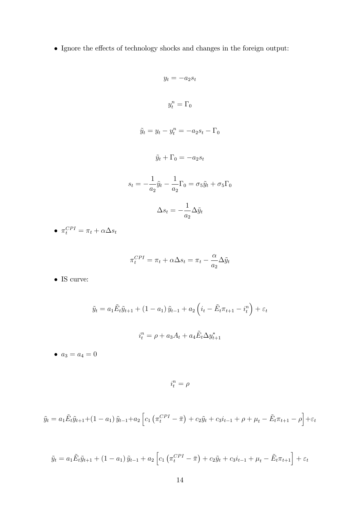$\bullet\,$  Ignore the effects of technology shocks and changes in the foreign output:

$$
y_t = -a_2 s_t
$$
  

$$
y_t^n = \Gamma_0
$$
  

$$
\tilde{y}_t = y_t - y_t^n = -a_2 s_t - \Gamma_0
$$
  

$$
\tilde{y}_t + \Gamma_0 = -a_2 s_t
$$
  

$$
s_t = -\frac{1}{a_2} \tilde{y}_t - \frac{1}{a_2} \Gamma_0 = \sigma_5 \tilde{y}_t + \sigma_5 \Gamma_0
$$
  

$$
\Delta s_t = -\frac{1}{a_2} \Delta \tilde{y}_t
$$

• 
$$
\pi_t^{CPI} = \pi_t + \alpha \Delta s_t
$$

$$
\pi_t^{CPI} = \pi_t + \alpha \Delta s_t = \pi_t - \frac{\alpha}{a_2} \Delta \tilde{y}_t
$$

 $\bullet$  IS curve:

$$
\tilde{y}_t = a_1 \tilde{E}_t \tilde{y}_{t+1} + (1 - a_1) \tilde{y}_{t-1} + a_2 \left( i_t - \tilde{E}_t \pi_{t+1} - i_t^n \right) + \varepsilon_t
$$

$$
i_t^n = \rho + a_3 A_t + a_4 \tilde{E}_t \Delta y_{t+1}^*
$$

•  $a_3 = a_4 = 0$ 

 $i_t^n = \rho$ 

$$
\tilde{y}_t = a_1 \tilde{E}_t \tilde{y}_{t+1} + (1 - a_1) \tilde{y}_{t-1} + a_2 \left[ c_1 \left( \pi_t^{CPI} - \bar{\pi} \right) + c_2 \tilde{y}_t + c_3 i_{t-1} + \rho + \mu_t - \tilde{E}_t \pi_{t+1} - \rho \right] + \varepsilon_t
$$

$$
\tilde{y}_t = a_1 \tilde{E}_t \tilde{y}_{t+1} + (1 - a_1) \tilde{y}_{t-1} + a_2 \left[ c_1 \left( \pi_t^{CPI} - \bar{\pi} \right) + c_2 \tilde{y}_t + c_3 i_{t-1} + \mu_t - \tilde{E}_t \pi_{t+1} \right] + \varepsilon_t
$$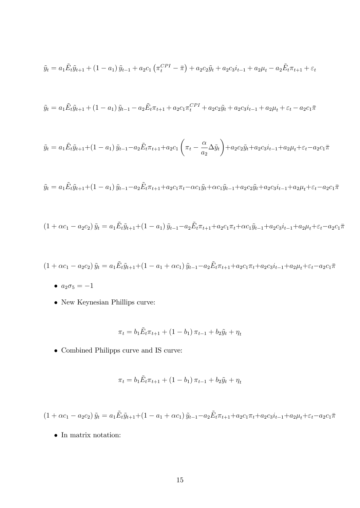$$
\tilde{y}_t = a_1 \tilde{E}_t \tilde{y}_{t+1} + (1 - a_1) \tilde{y}_{t-1} + a_2 c_1 \left( \pi_t^{CPI} - \bar{\pi} \right) + a_2 c_2 \tilde{y}_t + a_2 c_3 i_{t-1} + a_2 \mu_t - a_2 \tilde{E}_t \pi_{t+1} + \varepsilon_t
$$

$$
\tilde{y}_t = a_1 \tilde{E}_t \tilde{y}_{t+1} + (1 - a_1) \tilde{y}_{t-1} - a_2 \tilde{E}_t \pi_{t+1} + a_2 c_1 \pi_t^{CPI} + a_2 c_2 \tilde{y}_t + a_2 c_3 i_{t-1} + a_2 \mu_t + \varepsilon_t - a_2 c_1 \pi
$$

$$
\tilde{y}_t = a_1 \tilde{E}_t \tilde{y}_{t+1} + (1 - a_1) \tilde{y}_{t-1} - a_2 \tilde{E}_t \pi_{t+1} + a_2 c_1 \left( \pi_t - \frac{\alpha}{a_2} \Delta \tilde{y}_t \right) + a_2 c_2 \tilde{y}_t + a_2 c_3 i_{t-1} + a_2 \mu_t + \varepsilon_t - a_2 c_1 \pi
$$

$$
\tilde{y}_t = a_1 \tilde{E}_t \tilde{y}_{t+1} + (1 - a_1) \tilde{y}_{t-1} - a_2 \tilde{E}_t \pi_{t+1} + a_2 c_1 \pi_t - \alpha c_1 \tilde{y}_t + \alpha c_1 \tilde{y}_{t-1} + a_2 c_2 \tilde{y}_t + a_2 c_3 i_{t-1} + a_2 \mu_t + \varepsilon_t - a_2 c_1 \pi
$$

$$
(1 + \alpha c_1 - a_2 c_2) \tilde{y}_t = a_1 \tilde{E}_t \tilde{y}_{t+1} + (1 - a_1) \tilde{y}_{t-1} - a_2 \tilde{E}_t \pi_{t+1} + a_2 c_1 \pi_t + \alpha c_1 \tilde{y}_{t-1} + a_2 c_3 i_{t-1} + a_2 \mu_t + \varepsilon_t - a_2 c_1 \pi_t
$$

$$
(1 + \alpha c_1 - a_2 c_2) \tilde{y}_t = a_1 \tilde{E}_t \tilde{y}_{t+1} + (1 - a_1 + \alpha c_1) \tilde{y}_{t-1} - a_2 \tilde{E}_t \pi_{t+1} + a_2 c_1 \pi_t + a_2 c_3 i_{t-1} + a_2 \mu_t + \varepsilon_t - a_2 c_1 \pi_t
$$

- $a_2\sigma_5=-1$
- $\bullet\,$  New Keynesian Phillips curve:

$$
\pi_t = b_1 \tilde{E}_t \pi_{t+1} + (1 - b_1) \pi_{t-1} + b_2 \tilde{y}_t + \eta_t
$$

 $\bullet\,$  Combined Philipps curve and IS curve:

$$
\pi_t = b_1 \tilde{E}_t \pi_{t+1} + (1 - b_1) \pi_{t-1} + b_2 \tilde{y}_t + \eta_t
$$

 $(1 + \alpha c_1 - a_2 c_2) \tilde{y}_t = a_1 \tilde{E}_t \tilde{y}_{t+1} + (1 - a_1 + \alpha c_1) \tilde{y}_{t-1} - a_2 \tilde{E}_t \pi_{t+1} + a_2 c_1 \pi_t + a_2 c_3 i_{t-1} + a_2 \mu_t + \varepsilon_t - a_2 c_1 \pi_t$ 

 $\bullet~$  In matrix notation: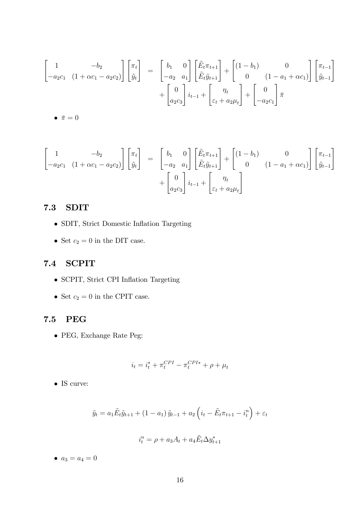$$
\begin{bmatrix} 1 & -b_2 \ -a_2c_1 & (1 + \alpha c_1 - a_2c_2) \end{bmatrix} \begin{bmatrix} \pi_t \\ \tilde{y}_t \end{bmatrix} = \begin{bmatrix} b_1 & 0 \\ -a_2 & a_1 \end{bmatrix} \begin{bmatrix} \tilde{E}_t \pi_{t+1} \\ \tilde{E}_t \tilde{y}_{t+1} \end{bmatrix} + \begin{bmatrix} (1 - b_1) & 0 \\ 0 & (1 - a_1 + \alpha c_1) \end{bmatrix} \begin{bmatrix} \pi_{t-1} \\ \tilde{y}_{t-1} \end{bmatrix} + \begin{bmatrix} 0 \\ a_2c_3 \end{bmatrix} i_{t-1} + \begin{bmatrix} \eta_t \\ \varepsilon_t + a_2\mu_t \end{bmatrix} + \begin{bmatrix} 0 \\ -a_2c_1 \end{bmatrix} \bar{\pi}
$$

 $\bullet~\bar{\pi}=0$ 

$$
\begin{bmatrix} 1 & -b_2 \ -a_2c_1 & (1 + \alpha c_1 - a_2c_2) \end{bmatrix} \begin{bmatrix} \pi_t \\ \tilde{y}_t \end{bmatrix} = \begin{bmatrix} b_1 & 0 \\ -a_2 & a_1 \end{bmatrix} \begin{bmatrix} \tilde{E}_t \pi_{t+1} \\ \tilde{E}_t \tilde{y}_{t+1} \end{bmatrix} + \begin{bmatrix} (1 - b_1) & 0 \\ 0 & (1 - a_1 + \alpha c_1) \end{bmatrix} \begin{bmatrix} \pi_{t-1} \\ \tilde{y}_{t-1} \end{bmatrix} + \begin{bmatrix} 0 \\ a_2c_3 \end{bmatrix} i_{t-1} + \begin{bmatrix} \eta_t \\ \varepsilon_t + a_2\mu_t \end{bmatrix}
$$

#### $7.3$ **SDIT**

- $\bullet$  SDIT, Strict Domestic Inflation Targeting
- $\bullet\,$  Set  $c_2=0$  in the DIT case.

#### $7.4$ **SCPIT**

- SCPIT, Strict CPI Inflation Targeting
- Set  $c_2=0$  in the CPIT case.

#### 7.5 **PEG**

 $\bullet\,$  PEG, Exchange Rate Peg:

$$
i_t = i_t^* + \pi_t^{CPI} - \pi_t^{CPI*} + \rho + \mu_t
$$

 $\bullet\,$  IS curve:

$$
\tilde{y}_t = a_1 \tilde{E}_t \tilde{y}_{t+1} + (1 - a_1) \tilde{y}_{t-1} + a_2 \left( i_t - \tilde{E}_t \pi_{t+1} - i_t^n \right) + \varepsilon_t
$$

$$
i_t^n = \rho + a_3 A_t + a_4 \tilde{E}_t \Delta y_{t+1}^*
$$

•  $a_3 = a_4 = 0$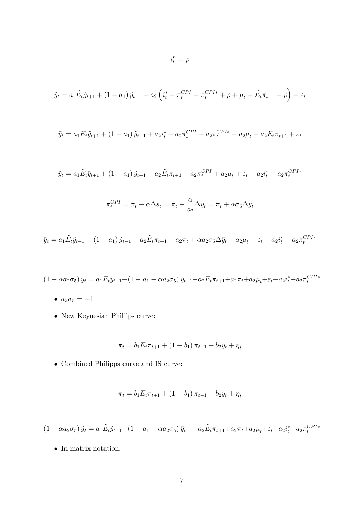$$
\tilde{y}_t = a_1 \tilde{E}_t \tilde{y}_{t+1} + (1 - a_1) \tilde{y}_{t-1} + a_2 \left( i_t^* + \pi_t^{CPI} - \pi_t^{CPI*} + \rho + \mu_t - \tilde{E}_t \pi_{t+1} - \rho \right) + \varepsilon_t
$$

 $i_t^n = \rho$ 

$$
\tilde{y}_t = a_1 \tilde{E}_t \tilde{y}_{t+1} + (1 - a_1) \tilde{y}_{t-1} + a_2 i_t^* + a_2 \pi_t^{CPI} - a_2 \pi_t^{CPI*} + a_2 \mu_t - a_2 \tilde{E}_t \pi_{t+1} + \varepsilon_t
$$

$$
\tilde{y}_t = a_1 \tilde{E}_t \tilde{y}_{t+1} + (1 - a_1) \tilde{y}_{t-1} - a_2 \tilde{E}_t \pi_{t+1} + a_2 \pi_t^{CPI} + a_2 \mu_t + \varepsilon_t + a_2 i_t^* - a_2 \pi_t^{CPI*}
$$

$$
\pi_t^{CPI} = \pi_t + \alpha \Delta s_t = \pi_t - \frac{\alpha}{a_2} \Delta \tilde{y}_t = \pi_t + \alpha \sigma_5 \Delta \tilde{y}_t
$$

$$
\tilde{y}_t = a_1 \tilde{E}_t \tilde{y}_{t+1} + (1 - a_1) \tilde{y}_{t-1} - a_2 \tilde{E}_t \pi_{t+1} + a_2 \pi_t + \alpha a_2 \sigma_5 \Delta \tilde{y}_t + a_2 \mu_t + \varepsilon_t + a_2 i_t^* - a_2 \pi_t^{CPI*}
$$

$$
(1 - \alpha a_2 \sigma_5) \tilde{y}_t = a_1 \tilde{E}_t \tilde{y}_{t+1} + (1 - a_1 - \alpha a_2 \sigma_5) \tilde{y}_{t-1} - a_2 \tilde{E}_t \pi_{t+1} + a_2 \pi_t + a_2 \mu_t + \varepsilon_t + a_2 i_t^* - a_2 \pi_t^{CPI*}
$$

- $a_2 \sigma_5 = -1$
- New Keynesian Phillips curve:

$$
\pi_t = b_1 \tilde{E}_t \pi_{t+1} + (1 - b_1) \pi_{t-1} + b_2 \tilde{y}_t + \eta_t
$$

 $\bullet\,$  Combined Philipps curve and IS curve:

$$
\pi_t = b_1 \tilde{E}_t \pi_{t+1} + (1 - b_1) \pi_{t-1} + b_2 \tilde{y}_t + \eta_t
$$

 $(1 - \alpha a_2 \sigma_5) \tilde{y}_t = a_1 \tilde{E}_t \tilde{y}_{t+1} + (1 - a_1 - \alpha a_2 \sigma_5) \tilde{y}_{t-1} - a_2 \tilde{E}_t \pi_{t+1} + a_2 \pi_t + a_2 \mu_t + \varepsilon_t + a_2 i_t^* - a_2 \pi_t^{CPI*}$ 

 $\bullet~$  In matrix notation: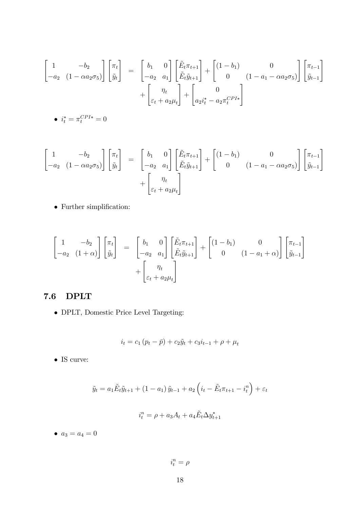$$
\begin{bmatrix} 1 & -b_2 \ -a_2 & (1 - \alpha a_2 \sigma_5) \end{bmatrix} \begin{bmatrix} \pi_t \\ \tilde{y}_t \end{bmatrix} = \begin{bmatrix} b_1 & 0 \\ -a_2 & a_1 \end{bmatrix} \begin{bmatrix} \tilde{E}_t \pi_{t+1} \\ \tilde{E}_t \tilde{y}_{t+1} \end{bmatrix} + \begin{bmatrix} (1 - b_1) & 0 \\ 0 & (1 - a_1 - \alpha a_2 \sigma_5) \end{bmatrix} \begin{bmatrix} \pi_{t-1} \\ \tilde{y}_{t-1} \end{bmatrix} + \begin{bmatrix} \eta_t \\ \varepsilon_t + a_2 \mu_t \end{bmatrix} + \begin{bmatrix} 0 \\ a_2 i_t^* - a_2 \pi_t^{CPI*} \end{bmatrix}
$$

$$
\bullet \ \ i_t^* = \pi_t^{CPI*} = 0
$$

$$
\begin{bmatrix} 1 & -b_2 \ -a_2 & (1 - \alpha a_2 \sigma_5) \end{bmatrix} \begin{bmatrix} \pi_t \\ \tilde{y}_t \end{bmatrix} = \begin{bmatrix} b_1 & 0 \\ -a_2 & a_1 \end{bmatrix} \begin{bmatrix} \tilde{E}_t \pi_{t+1} \\ \tilde{E}_t \tilde{y}_{t+1} \end{bmatrix} + \begin{bmatrix} (1 - b_1) & 0 \\ 0 & (1 - a_1 - \alpha a_2 \sigma_5) \end{bmatrix} \begin{bmatrix} \pi_{t-1} \\ \tilde{y}_{t-1} \end{bmatrix} + \begin{bmatrix} \eta_t \\ \varepsilon_t + a_2 \mu_t \end{bmatrix}
$$

 $\bullet~$  Further simplification:

$$
\begin{bmatrix} 1 & -b_2 \ -a_2 & (1+\alpha) \end{bmatrix} \begin{bmatrix} \pi_t \\ \tilde{y}_t \end{bmatrix} = \begin{bmatrix} b_1 & 0 \\ -a_2 & a_1 \end{bmatrix} \begin{bmatrix} \tilde{E}_t \pi_{t+1} \\ \tilde{E}_t \tilde{y}_{t+1} \end{bmatrix} + \begin{bmatrix} (1-b_1) & 0 \\ 0 & (1-a_1+\alpha) \end{bmatrix} \begin{bmatrix} \pi_{t-1} \\ \tilde{y}_{t-1} \end{bmatrix} + \begin{bmatrix} \eta_t \\ \varepsilon_t + a_2 \mu_t \end{bmatrix}
$$

#### $7.6$ **DPLT**

 $\bullet$  DPLT, Domestic Price Level Targeting:

$$
i_t = c_1 (p_t - \bar{p}) + c_2 \tilde{y}_t + c_3 i_{t-1} + \rho + \mu_t
$$

 $\bullet$  IS curve:

$$
\tilde{y}_t = a_1 \tilde{E}_t \tilde{y}_{t+1} + (1 - a_1) \tilde{y}_{t-1} + a_2 \left( i_t - \tilde{E}_t \pi_{t+1} - i_t^n \right) + \varepsilon_t
$$

$$
i_t^n = \rho + a_3 A_t + a_4 \tilde{E}_t \Delta y_{t+1}^*
$$

•  $a_3 = a_4 = 0$ 

 $i_t^n=\rho$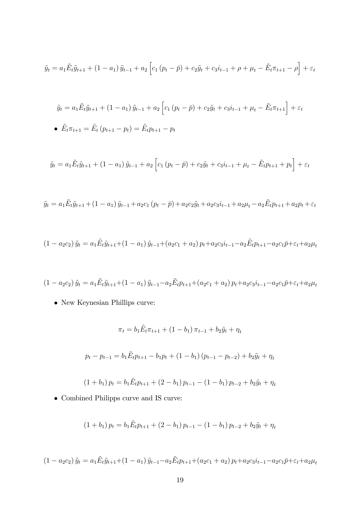$$
\tilde{y}_t = a_1 \tilde{E}_t \tilde{y}_{t+1} + (1 - a_1) \tilde{y}_{t-1} + a_2 \left[ c_1 (p_t - \bar{p}) + c_2 \tilde{y}_t + c_3 i_{t-1} + \rho + \mu_t - \tilde{E}_t \pi_{t+1} - \rho \right] + \varepsilon_t
$$

$$
\tilde{y}_t = a_1 \tilde{E}_t \tilde{y}_{t+1} + (1 - a_1) \tilde{y}_{t-1} + a_2 \left[ c_1 (p_t - \bar{p}) + c_2 \tilde{y}_t + c_3 i_{t-1} + \mu_t - \tilde{E}_t \pi_{t+1} \right] + \varepsilon_t
$$
  
\n•  $\tilde{E}_t \pi_{t+1} = \tilde{E}_t (p_{t+1} - p_t) = \tilde{E}_t p_{t+1} - p_t$ 

$$
\tilde{y}_t = a_1 \tilde{E}_t \tilde{y}_{t+1} + (1 - a_1) \tilde{y}_{t-1} + a_2 \left[ c_1 (p_t - \bar{p}) + c_2 \tilde{y}_t + c_3 i_{t-1} + \mu_t - \tilde{E}_t p_{t+1} + p_t \right] + \varepsilon_t
$$

$$
\tilde{y}_t = a_1 \tilde{E}_t \tilde{y}_{t+1} + (1 - a_1) \tilde{y}_{t-1} + a_2 c_1 (p_t - \bar{p}) + a_2 c_2 \tilde{y}_t + a_2 c_3 i_{t-1} + a_2 \mu_t - a_2 \tilde{E}_t p_{t+1} + a_2 p_t + \varepsilon_t
$$

$$
(1 - a_2c_2)\tilde{y}_t = a_1\tilde{E}_t\tilde{y}_{t+1} + (1 - a_1)\tilde{y}_{t-1} + (a_2c_1 + a_2)p_t + a_2c_3i_{t-1} - a_2\tilde{E}_tp_{t+1} - a_2c_1\bar{p} + \varepsilon_t + a_2\mu_t
$$

$$
(1 - a_2c_2)\tilde{y}_t = a_1\tilde{E}_t\tilde{y}_{t+1} + (1 - a_1)\tilde{y}_{t-1} - a_2\tilde{E}_tp_{t+1} + (a_2c_1 + a_2)p_t + a_2c_3i_{t-1} - a_2c_1\bar{p} + \varepsilon_t + a_2\mu_t
$$

 $\bullet\,$  New Keynesian Phillips curve:

$$
\pi_t = b_1 \tilde{E}_t \pi_{t+1} + (1 - b_1) \pi_{t-1} + b_2 \tilde{y}_t + \eta_t
$$
  

$$
p_t - p_{t-1} = b_1 \tilde{E}_t p_{t+1} - b_1 p_t + (1 - b_1) (p_{t-1} - p_{t-2}) + b_2 \tilde{y}_t + \eta_t
$$
  

$$
(1 + b_1) p_t = b_1 \tilde{E}_t p_{t+1} + (2 - b_1) p_{t-1} - (1 - b_1) p_{t-2} + b_2 \tilde{y}_t + \eta_t
$$

 $\bullet\,$  Combined Philipps curve and IS curve:

$$
(1 + b_1) p_t = b_1 \tilde{E}_t p_{t+1} + (2 - b_1) p_{t-1} - (1 - b_1) p_{t-2} + b_2 \tilde{y}_t + \eta_t
$$

$$
(1 - a_2c_2)\tilde{y}_t = a_1\tilde{E}_t\tilde{y}_{t+1} + (1 - a_1)\tilde{y}_{t-1} - a_2\tilde{E}_tp_{t+1} + (a_2c_1 + a_2)p_t + a_2c_3i_{t-1} - a_2c_1\bar{p} + \varepsilon_t + a_2\mu_t
$$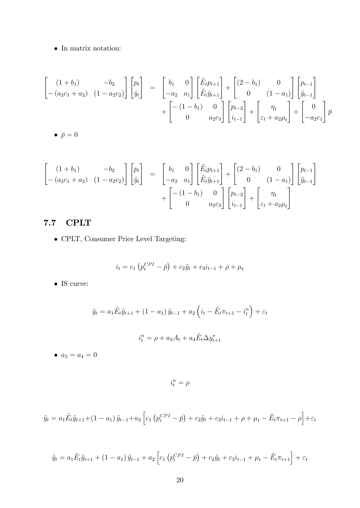$\bullet~$  In matrix notation:

$$
\begin{bmatrix}\n(1+b_1) & -b_2 \\
-(a_2c_1 + a_2) & (1-a_2c_2)\n\end{bmatrix}\n\begin{bmatrix}\np_t \\
\tilde{y}_t\n\end{bmatrix} =\n\begin{bmatrix}\nb_1 & 0 \\
-a_2 & a_1\n\end{bmatrix}\n\begin{bmatrix}\n\tilde{E}_tp_{t+1} \\
\tilde{E}_t\tilde{y}_{t+1}\n\end{bmatrix} +\n\begin{bmatrix}\n(2-b_1) & 0 \\
0 & (1-a_1)\n\end{bmatrix}\n\begin{bmatrix}\np_{t-1} \\
\tilde{y}_{t-1}\n\end{bmatrix} +\n\begin{bmatrix}\n-(1-b_1) & 0 \\
0 & a_2c_3\n\end{bmatrix}\n\begin{bmatrix}\np_{t-2} \\
i_{t-1}\n\end{bmatrix} +\n\begin{bmatrix}\n\eta_t \\
\varepsilon_t + a_2\mu_t\n\end{bmatrix} +\n\begin{bmatrix}\n0 \\
-a_2c_1\n\end{bmatrix}\n\tilde{p}
$$

$$
\begin{bmatrix}\n(1+b_1) & -b_2 \\
-(a_2c_1+a_2) & (1-a_2c_2)\n\end{bmatrix}\n\begin{bmatrix}\np_t \\
\tilde{y}_t\n\end{bmatrix} =\n\begin{bmatrix}\nb_1 & 0 \\
-a_2 & a_1\n\end{bmatrix}\n\begin{bmatrix}\n\tilde{E}_tp_{t+1} \\
\tilde{E}_t\tilde{y}_{t+1}\n\end{bmatrix} +\n\begin{bmatrix}\n(2-b_1) & 0 \\
0 & (1-a_1)\n\end{bmatrix}\n\begin{bmatrix}\np_{t-1} \\
\tilde{y}_{t-1}\n\end{bmatrix} +\n\begin{bmatrix}\n-(1-b_1) & 0 \\
0 & a_2c_3\n\end{bmatrix}\n\begin{bmatrix}\np_{t-2} \\
i_{t-1}\n\end{bmatrix} +\n\begin{bmatrix}\n\eta_t \\
\varepsilon_t + a_2\mu_t\n\end{bmatrix}
$$

# 7.7 CPLT

CPLT, Consumer Price Level Targeting:

$$
i_t = c_1 \left( p_t^{CPI} - \bar{p} \right) + c_2 \tilde{y}_t + c_3 i_{t-1} + \rho + \mu_t
$$

 $\bullet$  IS curve:

$$
\tilde{y}_t = a_1 \tilde{E}_t \tilde{y}_{t+1} + (1 - a_1) \tilde{y}_{t-1} + a_2 \left( i_t - \tilde{E}_t \pi_{t+1} - i_t^n \right) + \varepsilon_t
$$

$$
i_t^n = \rho + a_3 A_t + a_4 \tilde{E}_t \Delta y_{t+1}^*
$$

•  $a_3 = a_4 = 0$ 

 $i_t^n = \rho$ 

$$
\tilde{y}_t = a_1 \tilde{E}_t \tilde{y}_{t+1} + (1 - a_1) \tilde{y}_{t-1} + a_2 \left[ c_1 \left( p_t^{CPI} - \bar{p} \right) + c_2 \tilde{y}_t + c_3 i_{t-1} + \rho + \mu_t - \tilde{E}_t \pi_{t+1} - \rho \right] + \varepsilon_t
$$

$$
\tilde{y}_t = a_1 \tilde{E}_t \tilde{y}_{t+1} + (1 - a_1) \tilde{y}_{t-1} + a_2 \left[ c_1 \left( p_t^{CPI} - \bar{p} \right) + c_2 \tilde{y}_t + c_3 i_{t-1} + \mu_t - \tilde{E}_t \pi_{t+1} \right] + \varepsilon_t
$$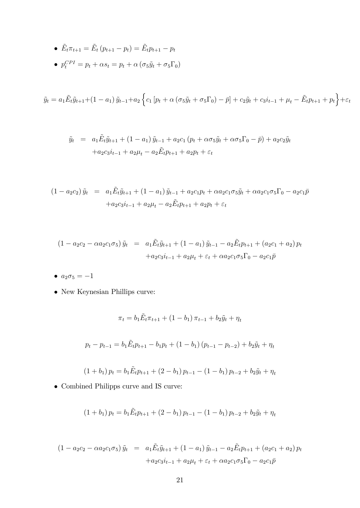\n- \n
$$
\tilde{E}_t \pi_{t+1} = \tilde{E}_t \left( p_{t+1} - p_t \right) = \tilde{E}_t p_{t+1} - p_t
$$
\n
\n- \n
$$
p_t^{CPI} = p_t + \alpha s_t = p_t + \alpha \left( \sigma_5 \tilde{y}_t + \sigma_5 \Gamma_0 \right)
$$
\n
\n

$$
\tilde{y}_t = a_1 \tilde{E}_t \tilde{y}_{t+1} + (1 - a_1) \tilde{y}_{t-1} + a_2 \left\{ c_1 \left[ p_t + \alpha \left( \sigma_5 \tilde{y}_t + \sigma_5 \Gamma_0 \right) - \bar{p} \right] + c_2 \tilde{y}_t + c_3 i_{t-1} + \mu_t - \tilde{E}_t p_{t+1} + p_t \right\} + \varepsilon_t
$$

$$
\tilde{y}_t = a_1 \tilde{E}_t \tilde{y}_{t+1} + (1 - a_1) \tilde{y}_{t-1} + a_2 c_1 (p_t + \alpha \sigma_5 \tilde{y}_t + \alpha \sigma_5 \Gamma_0 - \bar{p}) + a_2 c_2 \tilde{y}_t \n+ a_2 c_3 i_{t-1} + a_2 \mu_t - a_2 \tilde{E}_t p_{t+1} + a_2 p_t + \varepsilon_t
$$

$$
(1 - a_2c_2)\tilde{y}_t = a_1\tilde{E}_t\tilde{y}_{t+1} + (1 - a_1)\tilde{y}_{t-1} + a_2c_1p_t + \alpha a_2c_1\sigma_5\tilde{y}_t + \alpha a_2c_1\sigma_5\Gamma_0 - a_2c_1\bar{p} + a_2c_3i_{t-1} + a_2\mu_t - a_2\tilde{E}_tp_{t+1} + a_2p_t + \varepsilon_t
$$

$$
(1 - a_2c_2 - \alpha a_2c_1\sigma_5) \tilde{y}_t = a_1 \tilde{E}_t \tilde{y}_{t+1} + (1 - a_1) \tilde{y}_{t-1} - a_2 \tilde{E}_t p_{t+1} + (a_2c_1 + a_2) p_t + a_2 c_3 i_{t-1} + a_2 \mu_t + \varepsilon_t + \alpha a_2 c_1 \sigma_5 \Gamma_0 - a_2 c_1 \bar{p}
$$

- $a_2 \sigma_5 = -1$
- $\bullet\,$  New Keynesian Phillips curve:

$$
\pi_t = b_1 \tilde{E}_t \pi_{t+1} + (1 - b_1) \pi_{t-1} + b_2 \tilde{y}_t + \eta_t
$$
  

$$
p_t - p_{t-1} = b_1 \tilde{E}_t p_{t+1} - b_1 p_t + (1 - b_1) (p_{t-1} - p_{t-2}) + b_2 \tilde{y}_t + \eta_t
$$

$$
(1 + b_1) p_t = b_1 \tilde{E}_t p_{t+1} + (2 - b_1) p_{t-1} - (1 - b_1) p_{t-2} + b_2 \tilde{y}_t + \eta_t
$$

 $\bullet\,$  Combined Philipps curve and IS curve:

$$
(1 + b_1) p_t = b_1 \tilde{E}_t p_{t+1} + (2 - b_1) p_{t-1} - (1 - b_1) p_{t-2} + b_2 \tilde{y}_t + \eta_t
$$

$$
(1 - a_2c_2 - \alpha a_2c_1\sigma_5) \tilde{y}_t = a_1 \tilde{E}_t \tilde{y}_{t+1} + (1 - a_1) \tilde{y}_{t-1} - a_2 \tilde{E}_t p_{t+1} + (a_2c_1 + a_2) p_t + a_2 c_3 i_{t-1} + a_2 \mu_t + \varepsilon_t + \alpha a_2 c_1 \sigma_5 \Gamma_0 - a_2 c_1 \bar{p}
$$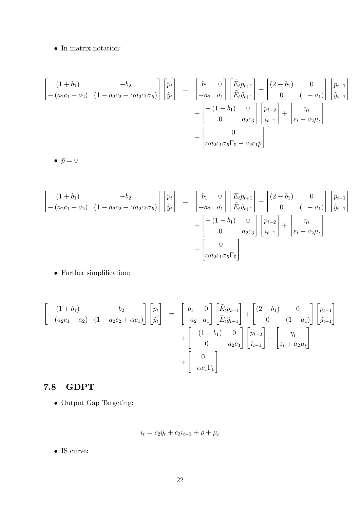### $\bullet~$  In matrix notation:

$$
\begin{bmatrix}\n(1+b_1) & -b_2 \\
-(a_2c_1 + a_2) & (1 - a_2c_2 - \alpha a_2c_1\sigma_5)\n\end{bmatrix}\n\begin{bmatrix}\np_t \\
\tilde{y}_t\n\end{bmatrix} =\n\begin{bmatrix}\nb_1 & 0 \\
-a_2 & a_1\n\end{bmatrix}\n\begin{bmatrix}\n\tilde{E}_tp_{t+1} \\
\tilde{E}_t\tilde{y}_{t+1}\n\end{bmatrix} +\n\begin{bmatrix}\n(2 - b_1) & 0 \\
0 & (1 - a_1)\n\end{bmatrix}\n\begin{bmatrix}\np_{t-1} \\
\tilde{y}_{t-1}\n\end{bmatrix} +\n\begin{bmatrix}\n-(1 - b_1) & 0 \\
0 & a_2c_3\n\end{bmatrix}\n\begin{bmatrix}\np_{t-2} \\
i_{t-1}\n\end{bmatrix} +\n\begin{bmatrix}\n\eta_t \\
\varepsilon_t + a_2\mu_t\n\end{bmatrix} +\n\begin{bmatrix}\n0 \\
\alpha a_2c_1\sigma_5\Gamma_0 - a_2c_1\overline{p}\n\end{bmatrix}
$$

 $\bullet \ \bar{p} = 0$ 

$$
\begin{bmatrix}\n(1+b_1) & -b_2 \\
-(a_2c_1 + a_2) & (1 - a_2c_2 - \alpha a_2c_1\sigma_5)\n\end{bmatrix}\n\begin{bmatrix}\np_t \\
\tilde{y}_t\n\end{bmatrix} =\n\begin{bmatrix}\nb_1 & 0 \\
-a_2 & a_1\n\end{bmatrix}\n\begin{bmatrix}\n\tilde{E}_tp_{t+1} \\
\tilde{E}_t\tilde{y}_{t+1}\n\end{bmatrix} +\n\begin{bmatrix}\n(2 - b_1) & 0 \\
0 & (1 - a_1)\n\end{bmatrix}\n\begin{bmatrix}\np_{t-1} \\
\tilde{y}_{t-1}\n\end{bmatrix} +\n\begin{bmatrix}\n-(1 - b_1) & 0 \\
0 & a_2c_3\n\end{bmatrix}\n\begin{bmatrix}\np_{t-2} \\
i_{t-1}\n\end{bmatrix} +\n\begin{bmatrix}\n\eta_t \\
\varepsilon_t + a_2\mu_t\n\end{bmatrix} +\n\begin{bmatrix}\n0 \\
\alpha a_2c_1\sigma_5\Gamma_0\n\end{bmatrix}
$$

 $\bullet\,$  Further simplification:

$$
\begin{bmatrix}\n(1+b_1) & -b_2 \\
-(a_2c_1 + a_2) & (1 - a_2c_2 + \alpha c_1)\n\end{bmatrix}\n\begin{bmatrix}\np_t \\
\tilde{y}_t\n\end{bmatrix} =\n\begin{bmatrix}\nb_1 & 0 \\
-a_2 & a_1\n\end{bmatrix}\n\begin{bmatrix}\n\tilde{E}_t p_{t+1} \\
\tilde{E}_t \tilde{y}_{t+1}\n\end{bmatrix} +\n\begin{bmatrix}\n(2 - b_1) & 0 \\
0 & (1 - a_1)\n\end{bmatrix}\n\begin{bmatrix}\np_{t-1} \\
\tilde{y}_{t-1}\n\end{bmatrix} +\n\begin{bmatrix}\n-(1 - b_1) & 0 \\
0 & a_2c_3\n\end{bmatrix}\n\begin{bmatrix}\np_{t-2} \\
i_{t-1}\n\end{bmatrix} +\n\begin{bmatrix}\n\eta_t \\
\varepsilon_t + a_2\mu_t\n\end{bmatrix} +\n\begin{bmatrix}\n0 \\
-\alpha c_1 \Gamma_0\n\end{bmatrix}
$$

### 7.8 GDPT

 $\bullet\,$  Output Gap Targeting:

$$
i_t = c_2 \tilde{y}_t + c_3 i_{t-1} + \rho + \mu_t
$$

 $\bullet$  IS curve: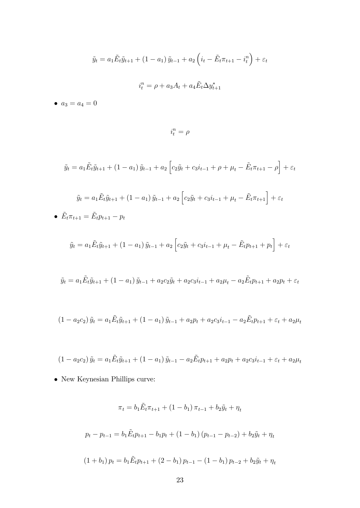$$
\tilde{y}_t = a_1 \tilde{E}_t \tilde{y}_{t+1} + (1 - a_1) \tilde{y}_{t-1} + a_2 \left( i_t - \tilde{E}_t \pi_{t+1} - i_t^n \right) + \varepsilon_t
$$

$$
i_t^n = \rho + a_3 A_t + a_4 \tilde{E}_t \Delta y_{t+1}^*
$$

•  $a_3 = a_4 = 0$ 

 $i_t^n = \rho$ 

$$
\tilde{y}_t = a_1 \tilde{E}_t \tilde{y}_{t+1} + (1 - a_1) \tilde{y}_{t-1} + a_2 \left[ c_2 \tilde{y}_t + c_3 i_{t-1} + \rho + \mu_t - \tilde{E}_t \pi_{t+1} - \rho \right] + \varepsilon_t
$$

$$
\tilde{y}_t = a_1 \tilde{E}_t \tilde{y}_{t+1} + (1 - a_1) \tilde{y}_{t-1} + a_2 \left[ c_2 \tilde{y}_t + c_3 i_{t-1} + \mu_t - \tilde{E}_t \pi_{t+1} \right] + \varepsilon_t
$$
  
\n•  $\tilde{E}_t \pi_{t+1} = \tilde{E}_t p_{t+1} - p_t$ 

$$
\tilde{y}_t = a_1 \tilde{E}_t \tilde{y}_{t+1} + (1 - a_1) \tilde{y}_{t-1} + a_2 \left[ c_2 \tilde{y}_t + c_3 i_{t-1} + \mu_t - \tilde{E}_t p_{t+1} + p_t \right] + \varepsilon_t
$$

$$
\tilde{y}_t = a_1 \tilde{E}_t \tilde{y}_{t+1} + (1 - a_1) \tilde{y}_{t-1} + a_2 c_2 \tilde{y}_t + a_2 c_3 i_{t-1} + a_2 \mu_t - a_2 \tilde{E}_t p_{t+1} + a_2 p_t + \varepsilon_t
$$

$$
(1 - a_2c_2)\tilde{y}_t = a_1\tilde{E}_t\tilde{y}_{t+1} + (1 - a_1)\tilde{y}_{t-1} + a_2p_t + a_2c_3i_{t-1} - a_2\tilde{E}_tp_{t+1} + \varepsilon_t + a_2\mu_t
$$

$$
(1 - a_2c_2)\tilde{y}_t = a_1\tilde{E}_t\tilde{y}_{t+1} + (1 - a_1)\tilde{y}_{t-1} - a_2\tilde{E}_tp_{t+1} + a_2p_t + a_2c_3i_{t-1} + \varepsilon_t + a_2\mu_t
$$

 $\bullet\,$  New Keynesian Phillips curve:

$$
\pi_t = b_1 \tilde{E}_t \pi_{t+1} + (1 - b_1) \pi_{t-1} + b_2 \tilde{y}_t + \eta_t
$$
  

$$
p_t - p_{t-1} = b_1 \tilde{E}_t p_{t+1} - b_1 p_t + (1 - b_1) (p_{t-1} - p_{t-2}) + b_2 \tilde{y}_t + \eta_t
$$
  

$$
(1 + b_1) p_t = b_1 \tilde{E}_t p_{t+1} + (2 - b_1) p_{t-1} - (1 - b_1) p_{t-2} + b_2 \tilde{y}_t + \eta_t
$$